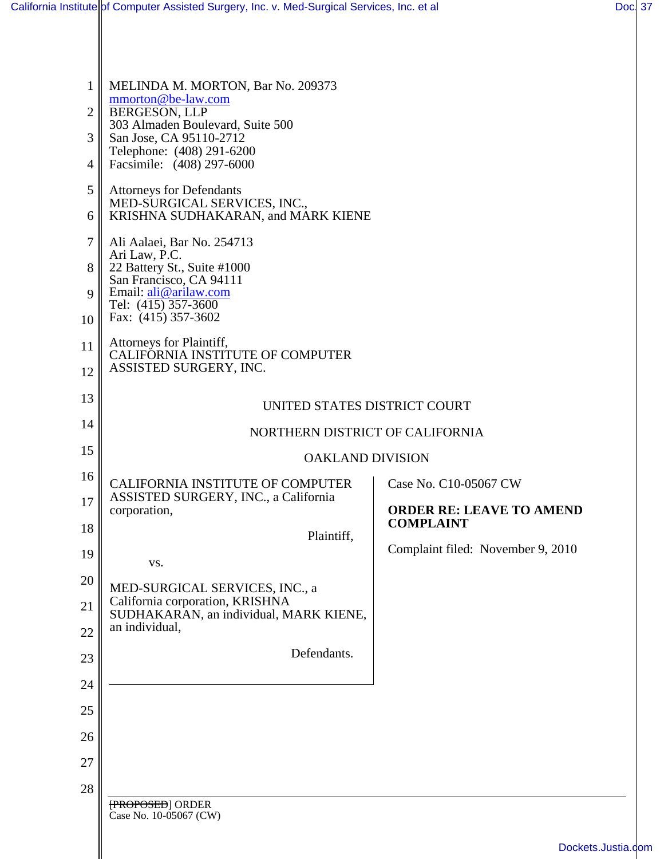| $\mathbf{1}$   | MELINDA M. MORTON, Bar No. 209373<br>mmorton@be-law.com                         |                                                     |
|----------------|---------------------------------------------------------------------------------|-----------------------------------------------------|
| $\overline{2}$ | <b>BERGESON, LLP</b><br>303 Almaden Boulevard, Suite 500                        |                                                     |
| 3              | San Jose, CA 95110-2712<br>Telephone: (408) 291-6200                            |                                                     |
| 4              | Facsimile: (408) 297-6000                                                       |                                                     |
| 5              | <b>Attorneys for Defendants</b><br>MED-SURGICAL SERVICES, INC.,                 |                                                     |
| 6              | KRISHNA SUDHAKARAN, and MARK KIENE                                              |                                                     |
| $\tau$         | Ali Aalaei, Bar No. 254713                                                      |                                                     |
| 8              | Ari Law, P.C.<br>22 Battery St., Suite #1000<br>San Francisco, CA 94111         |                                                     |
| 9              | Email: ali@arilaw.com                                                           |                                                     |
| 10             | Tel: (415) 357-3600<br>Fax: (415) 357-3602                                      |                                                     |
| 11             | Attorneys for Plaintiff,                                                        |                                                     |
| 12             | CALIFORNIA INSTITUTE OF COMPUTER<br>ASSISTED SURGERY, INC.                      |                                                     |
| 13             |                                                                                 |                                                     |
| 14             | UNITED STATES DISTRICT COURT                                                    |                                                     |
| 15             | NORTHERN DISTRICT OF CALIFORNIA                                                 |                                                     |
| 16             | <b>OAKLAND DIVISION</b>                                                         |                                                     |
| 17             | <b>CALIFORNIA INSTITUTE OF COMPUTER</b><br>ASSISTED SURGERY, INC., a California | Case No. C10-05067 CW                               |
| 18             | corporation,                                                                    | <b>ORDER RE: LEAVE TO AMEND</b><br><b>COMPLAINT</b> |
|                | Plaintiff,                                                                      | Complaint filed: November 9, 2010                   |
| 19             | VS.                                                                             |                                                     |
| 20             | MED-SURGICAL SERVICES, INC., a<br>California corporation, KRISHNA               |                                                     |
| 21             | SUDHAKARAN, an individual, MARK KIENE,                                          |                                                     |
| 22             | an individual,                                                                  |                                                     |
| 23             | Defendants.                                                                     |                                                     |
| 24             |                                                                                 |                                                     |
| 25             |                                                                                 |                                                     |
| 26             |                                                                                 |                                                     |
| 27             |                                                                                 |                                                     |
| 28             |                                                                                 |                                                     |
|                | <b>FROPOSED</b> ORDER<br>Case No. 10-05067 (CW)                                 |                                                     |
|                |                                                                                 | Dockets.Justia                                      |
|                |                                                                                 |                                                     |